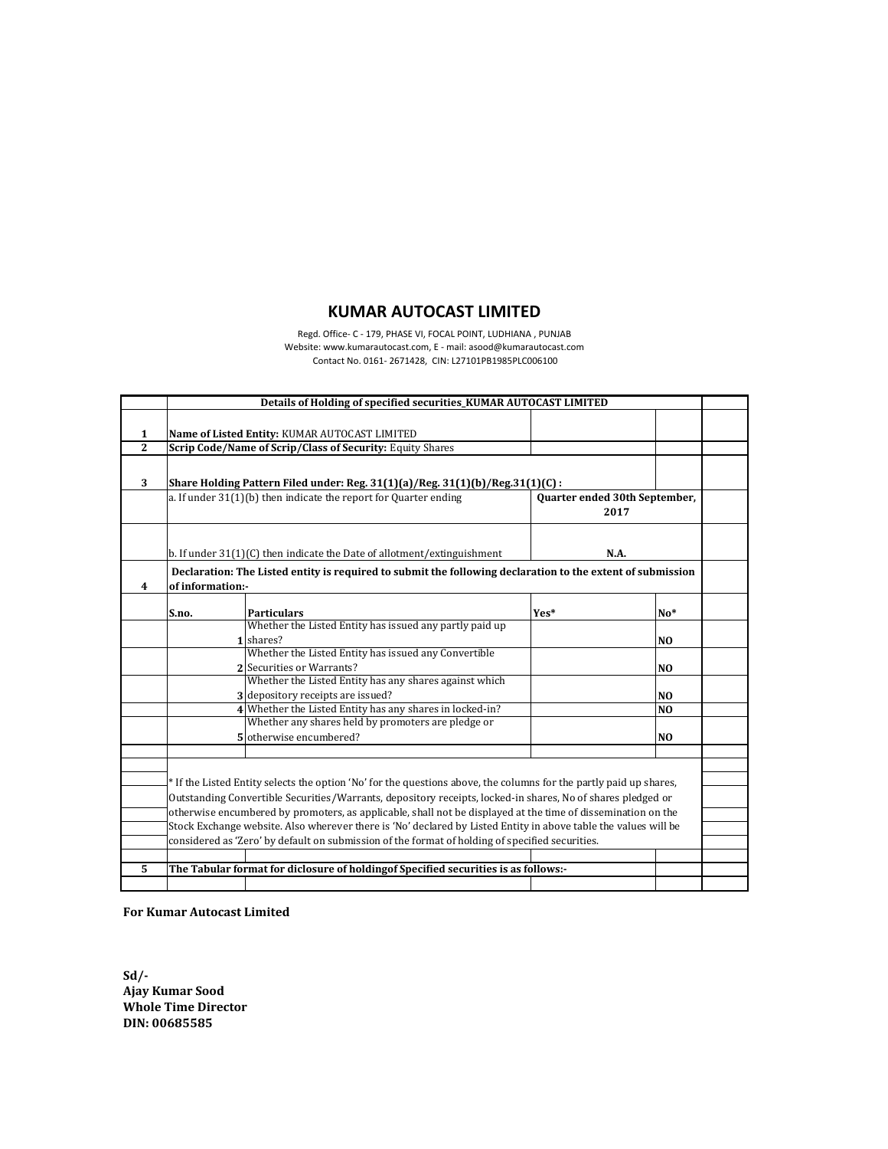## **KUMAR AUTOCAST LIMITED**

Regd. Office- C - 179, PHASE VI, FOCAL POINT, LUDHIANA , PUNJAB Website: www.kumarautocast.com, E - mail: asood@kumarautocast.com Contact No. 0161- 2671428, CIN: L27101PB1985PLC006100

|                         | Details of Holding of specified securities KUMAR AUTOCAST LIMITED                                 |                                                                                                                    |      |                |  |  |  |  |  |  |  |  |  |  |
|-------------------------|---------------------------------------------------------------------------------------------------|--------------------------------------------------------------------------------------------------------------------|------|----------------|--|--|--|--|--|--|--|--|--|--|
|                         |                                                                                                   |                                                                                                                    |      |                |  |  |  |  |  |  |  |  |  |  |
| $\mathbf{1}$            |                                                                                                   | Name of Listed Entity: KUMAR AUTOCAST LIMITED                                                                      |      |                |  |  |  |  |  |  |  |  |  |  |
| 2                       | Scrip Code/Name of Scrip/Class of Security: Equity Shares                                         |                                                                                                                    |      |                |  |  |  |  |  |  |  |  |  |  |
|                         |                                                                                                   |                                                                                                                    |      |                |  |  |  |  |  |  |  |  |  |  |
|                         | 3<br>Share Holding Pattern Filed under: Reg. 31(1)(a)/Reg. 31(1)(b)/Reg. 31(1)(C):                |                                                                                                                    |      |                |  |  |  |  |  |  |  |  |  |  |
|                         |                                                                                                   |                                                                                                                    |      |                |  |  |  |  |  |  |  |  |  |  |
|                         | a. If under 31(1)(b) then indicate the report for Quarter ending<br>Quarter ended 30th September, |                                                                                                                    |      |                |  |  |  |  |  |  |  |  |  |  |
|                         | 2017                                                                                              |                                                                                                                    |      |                |  |  |  |  |  |  |  |  |  |  |
|                         |                                                                                                   |                                                                                                                    |      |                |  |  |  |  |  |  |  |  |  |  |
|                         | b. If under 31(1)(C) then indicate the Date of allotment/extinguishment<br>N.A.                   |                                                                                                                    |      |                |  |  |  |  |  |  |  |  |  |  |
|                         |                                                                                                   |                                                                                                                    |      |                |  |  |  |  |  |  |  |  |  |  |
|                         |                                                                                                   | Declaration: The Listed entity is required to submit the following declaration to the extent of submission         |      |                |  |  |  |  |  |  |  |  |  |  |
| $\overline{\mathbf{4}}$ | of information:-                                                                                  |                                                                                                                    |      |                |  |  |  |  |  |  |  |  |  |  |
|                         |                                                                                                   |                                                                                                                    |      |                |  |  |  |  |  |  |  |  |  |  |
|                         | S.no.                                                                                             | <b>Particulars</b>                                                                                                 | Yes* | $No*$          |  |  |  |  |  |  |  |  |  |  |
|                         |                                                                                                   | Whether the Listed Entity has issued any partly paid up                                                            |      |                |  |  |  |  |  |  |  |  |  |  |
|                         |                                                                                                   | 1 shares?                                                                                                          |      | N <sub>O</sub> |  |  |  |  |  |  |  |  |  |  |
|                         |                                                                                                   | Whether the Listed Entity has issued any Convertible                                                               |      |                |  |  |  |  |  |  |  |  |  |  |
|                         |                                                                                                   | 2 Securities or Warrants?                                                                                          |      | N <sub>O</sub> |  |  |  |  |  |  |  |  |  |  |
|                         |                                                                                                   | Whether the Listed Entity has any shares against which                                                             |      |                |  |  |  |  |  |  |  |  |  |  |
|                         |                                                                                                   | 3 depository receipts are issued?                                                                                  |      | N <sub>O</sub> |  |  |  |  |  |  |  |  |  |  |
|                         |                                                                                                   | 4 Whether the Listed Entity has any shares in locked-in?                                                           |      | N <sub>O</sub> |  |  |  |  |  |  |  |  |  |  |
|                         |                                                                                                   | Whether any shares held by promoters are pledge or                                                                 |      |                |  |  |  |  |  |  |  |  |  |  |
|                         |                                                                                                   | 5 otherwise encumbered?                                                                                            |      | NO.            |  |  |  |  |  |  |  |  |  |  |
|                         |                                                                                                   |                                                                                                                    |      |                |  |  |  |  |  |  |  |  |  |  |
|                         |                                                                                                   |                                                                                                                    |      |                |  |  |  |  |  |  |  |  |  |  |
|                         |                                                                                                   | * If the Listed Entity selects the option 'No' for the questions above, the columns for the partly paid up shares, |      |                |  |  |  |  |  |  |  |  |  |  |
|                         |                                                                                                   | Outstanding Convertible Securities/Warrants, depository receipts, locked-in shares, No of shares pledged or        |      |                |  |  |  |  |  |  |  |  |  |  |
|                         |                                                                                                   | otherwise encumbered by promoters, as applicable, shall not be displayed at the time of dissemination on the       |      |                |  |  |  |  |  |  |  |  |  |  |
|                         |                                                                                                   | Stock Exchange website. Also wherever there is 'No' declared by Listed Entity in above table the values will be    |      |                |  |  |  |  |  |  |  |  |  |  |
|                         |                                                                                                   | considered as 'Zero' by default on submission of the format of holding of specified securities.                    |      |                |  |  |  |  |  |  |  |  |  |  |
|                         |                                                                                                   |                                                                                                                    |      |                |  |  |  |  |  |  |  |  |  |  |
| 5                       |                                                                                                   | The Tabular format for diclosure of holdingof Specified securities is as follows:-                                 |      |                |  |  |  |  |  |  |  |  |  |  |
|                         |                                                                                                   |                                                                                                                    |      |                |  |  |  |  |  |  |  |  |  |  |

**For Kumar Autocast Limited**

**Sd/- Ajay Kumar Sood Whole Time Director DIN: 00685585**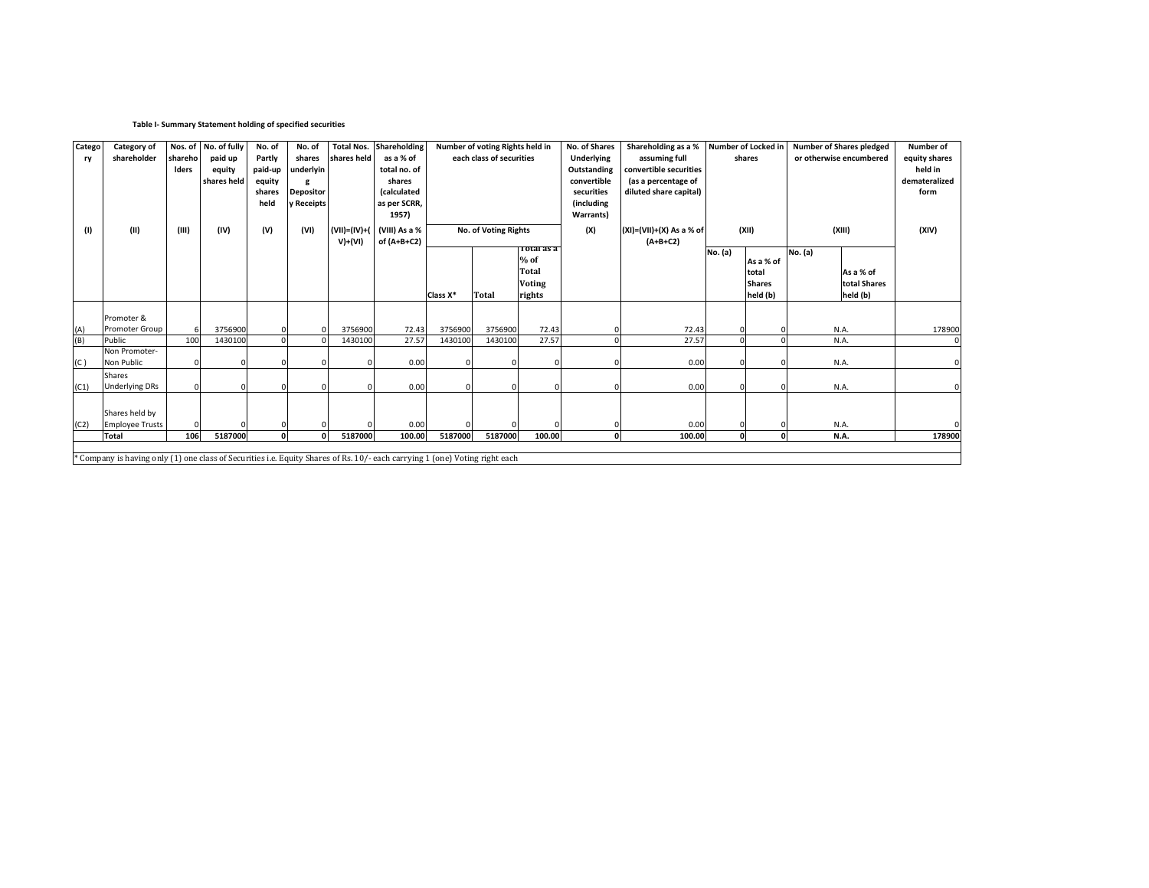## **Table I- Summary Statement holding of specified securities**

| Catego | Category of                                                                                                                 |                      | Nos. of No. of fully | No. of  | No. of           |              | <b>Total Nos. Shareholding</b> |                          | Number of voting Rights held in |                   | No. of Shares | Shareholding as a %            |              | Number of Locked in     | <b>Number of Shares pledged</b> | Number of     |
|--------|-----------------------------------------------------------------------------------------------------------------------------|----------------------|----------------------|---------|------------------|--------------|--------------------------------|--------------------------|---------------------------------|-------------------|---------------|--------------------------------|--------------|-------------------------|---------------------------------|---------------|
| ry     | shareholder                                                                                                                 | shareho <sup>l</sup> | paid up              | Partly  | shares           | shares held  | as a % of                      | each class of securities |                                 | <b>Underlying</b> | assuming full | shares                         |              | or otherwise encumbered | equity shares                   |               |
|        |                                                                                                                             | <b>Iders</b>         | equity               | paid-up | underlyin        |              | total no. of                   |                          |                                 |                   | Outstanding   | convertible securities         |              |                         |                                 | held in       |
|        |                                                                                                                             |                      | shares held          | equity  |                  |              | shares                         |                          |                                 |                   | convertible   | (as a percentage of            |              |                         |                                 | demateralized |
|        |                                                                                                                             |                      |                      | shares  | <b>Depositor</b> |              | (calculated                    |                          |                                 |                   | securities    | diluted share capital)         |              |                         |                                 | form          |
|        |                                                                                                                             |                      |                      | held    | y Receipts       |              | as per SCRR,                   |                          |                                 |                   | (including    |                                |              |                         |                                 |               |
|        |                                                                                                                             |                      |                      |         |                  |              | 1957)                          |                          |                                 |                   | Warrants)     |                                |              |                         |                                 |               |
| (1)    | (II)                                                                                                                        | (III)                | (IV)                 | (V)     | (VI)             | (VII)=(IV)+( | (VIII) As a %                  |                          | No. of Voting Rights            |                   | (X)           | $(XI) = (VII) + (X) As a % of$ |              | (XII)                   | (XIII)                          | (XIV)         |
|        |                                                                                                                             |                      |                      |         |                  | $V)+(VI)$    | of (A+B+C2)                    |                          |                                 |                   |               | $(A+B+C2)$                     |              |                         |                                 |               |
|        |                                                                                                                             |                      |                      |         |                  |              |                                |                          |                                 | 10tal as a        |               |                                | No. (a)      |                         | No. (a)                         |               |
|        |                                                                                                                             |                      |                      |         |                  |              |                                |                          |                                 | $%$ of            |               |                                |              | As a % of               |                                 |               |
|        |                                                                                                                             |                      |                      |         |                  |              |                                |                          |                                 | <b>Total</b>      |               |                                |              | total                   | As a % of                       |               |
|        |                                                                                                                             |                      |                      |         |                  |              |                                |                          |                                 | <b>Voting</b>     |               |                                |              | <b>Shares</b>           | total Shares                    |               |
|        |                                                                                                                             |                      |                      |         |                  |              |                                | Class X*                 | <b>Total</b>                    | rights            |               |                                |              | held (b)                | held (b)                        |               |
|        | Promoter &                                                                                                                  |                      |                      |         |                  |              |                                |                          |                                 |                   |               |                                |              |                         |                                 |               |
| (A)    | Promoter Group                                                                                                              | 6                    | 3756900              |         |                  | 3756900      | 72.43                          | 3756900                  | 3756900                         | 72.43             |               | 72.43                          |              |                         | N.A.                            | 178900        |
| (B)    | Public                                                                                                                      | 100                  | 1430100              |         |                  | 1430100      | 27.57                          | 1430100                  | 1430100                         | 27.57             |               | 27.57                          |              |                         | N.A.                            |               |
|        | Non Promoter-                                                                                                               |                      |                      |         |                  |              |                                |                          |                                 |                   |               |                                |              |                         |                                 |               |
| (C)    | Non Public                                                                                                                  |                      |                      |         |                  |              | 0.00                           |                          |                                 |                   |               | 0.00                           |              |                         | N.A.                            |               |
|        | <b>Shares</b>                                                                                                               |                      |                      |         |                  |              |                                |                          |                                 |                   |               |                                |              |                         |                                 |               |
| (C1)   | <b>Underlying DRs</b>                                                                                                       |                      |                      |         |                  |              | 0.00                           |                          |                                 |                   |               | 0.00                           |              |                         | N.A.                            |               |
|        |                                                                                                                             |                      |                      |         |                  |              |                                |                          |                                 |                   |               |                                |              |                         |                                 |               |
|        | Shares held by                                                                                                              |                      |                      |         |                  |              |                                |                          |                                 |                   |               |                                |              |                         |                                 |               |
| (C2)   | <b>Employee Trusts</b>                                                                                                      |                      |                      |         |                  |              | 0.00                           |                          |                                 |                   |               | 0.00                           |              |                         | N.A.                            |               |
|        | <b>Total</b>                                                                                                                | 106                  | 5187000              |         | ΩL<br>$\Omega$   | 5187000      | 100.00                         | 5187000                  | 5187000                         | 100.00            | <sub>0</sub>  | 100.00                         | $\mathbf{a}$ |                         | N.A.                            | 178900        |
|        |                                                                                                                             |                      |                      |         |                  |              |                                |                          |                                 |                   |               |                                |              |                         |                                 |               |
|        | * Company is having only (1) one class of Securities i.e. Equity Shares of Rs. 10/- each carrying 1 (one) Voting right each |                      |                      |         |                  |              |                                |                          |                                 |                   |               |                                |              |                         |                                 |               |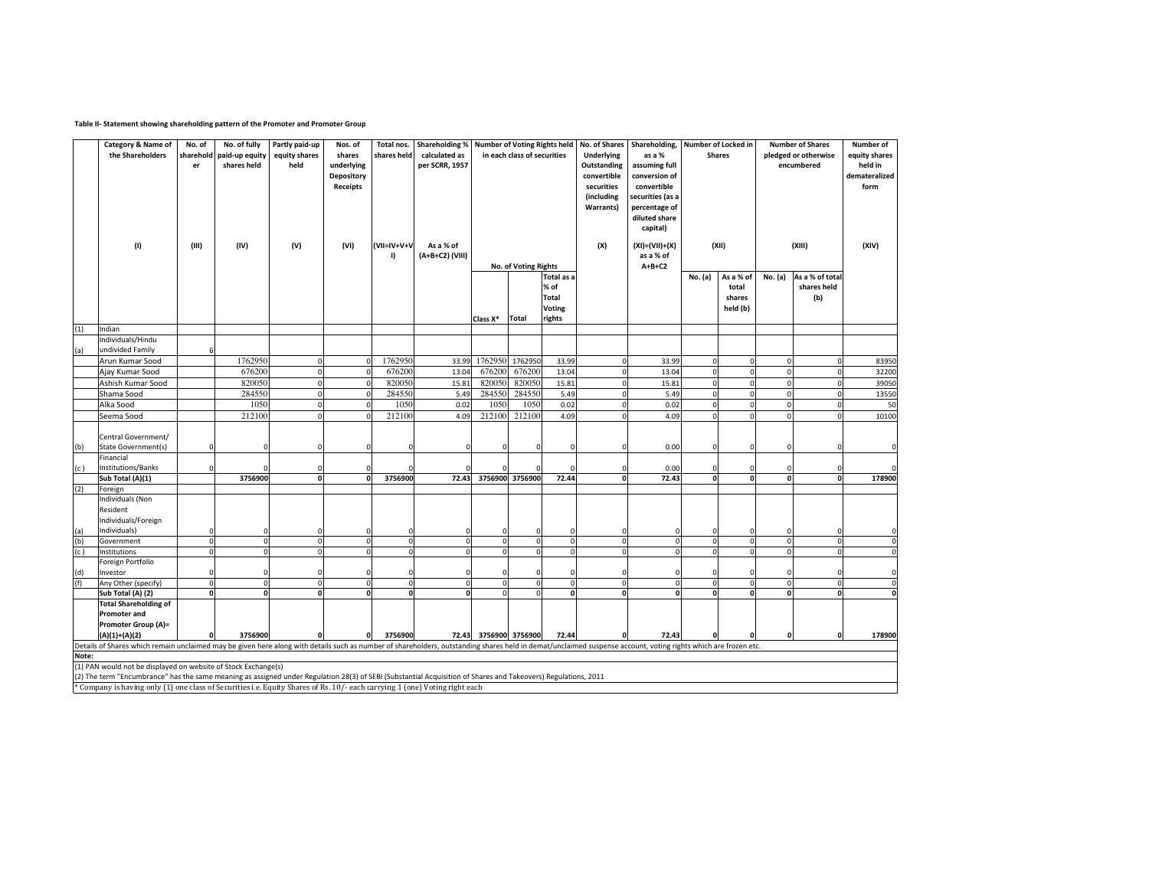## **Table II- Statement showing shareholding pattern of the Promoter and Promoter Group**

|       | Category & Name of                                                                                                                                                                                             | No. of       | No. of fully   | Partly paid-up | Nos. of      | Total nos.            | <b>Shareholding %</b> | <b>Number of Voting Rights held</b> |                      |            | No. of Shares    | Shareholding,  |               | Number of Locked in |                      | <b>Number of Shares</b> | Number of     |
|-------|----------------------------------------------------------------------------------------------------------------------------------------------------------------------------------------------------------------|--------------|----------------|----------------|--------------|-----------------------|-----------------------|-------------------------------------|----------------------|------------|------------------|----------------|---------------|---------------------|----------------------|-------------------------|---------------|
|       | the Shareholders                                                                                                                                                                                               | sharehold    | paid-up equity | equity shares  | shares       | shares held           | calculated as         | in each class of securities         |                      |            | Underlying       | as a %         | <b>Shares</b> |                     | pledged or otherwise | equity shares           |               |
|       |                                                                                                                                                                                                                | er           | shares held    | held           | underlying   |                       | per SCRR, 1957        |                                     |                      |            | Outstanding      | assuming full  |               |                     |                      | encumbered              | held in       |
|       |                                                                                                                                                                                                                |              |                |                | Depository   |                       |                       |                                     |                      |            | convertible      | conversion of  |               |                     |                      |                         | demateralized |
|       |                                                                                                                                                                                                                |              |                |                |              |                       |                       |                                     |                      |            | securities       | convertible    |               |                     |                      |                         | form          |
|       |                                                                                                                                                                                                                | Receipts     |                |                |              |                       |                       |                                     |                      | (including | securities (as a |                |               |                     |                      |                         |               |
|       |                                                                                                                                                                                                                |              |                |                |              |                       |                       |                                     |                      |            | Warrants)        | percentage of  |               |                     |                      |                         |               |
|       |                                                                                                                                                                                                                |              |                |                |              |                       |                       |                                     |                      |            |                  | diluted share  |               |                     |                      |                         |               |
|       |                                                                                                                                                                                                                |              |                |                |              |                       |                       |                                     |                      |            |                  | capital)       |               |                     |                      |                         |               |
|       |                                                                                                                                                                                                                |              |                |                |              |                       |                       |                                     |                      |            |                  |                |               |                     |                      |                         |               |
|       | (1)                                                                                                                                                                                                            | (III)        | (IV)           | (V)            | (VI)         | (VII=IV+V+V           | As a % of             |                                     |                      |            | (X)              | (XI)=(VII)+(X) |               | (XII)               | (XIII)               | (XIV)                   |               |
|       |                                                                                                                                                                                                                |              |                |                |              | I)                    | (A+B+C2) (VIII)       |                                     |                      |            |                  | as a % of      |               |                     |                      |                         |               |
|       |                                                                                                                                                                                                                |              |                |                |              |                       |                       |                                     | No. of Voting Rights |            |                  | $A+B+C2$       |               |                     |                      |                         |               |
|       |                                                                                                                                                                                                                |              |                |                |              |                       |                       |                                     |                      | Total as a |                  |                | No. (a)       | As a % of           | No. (a)              | As a % of total         |               |
|       |                                                                                                                                                                                                                |              |                |                |              |                       |                       |                                     |                      | % of       |                  |                |               | total               |                      | shares held             |               |
|       |                                                                                                                                                                                                                |              |                |                |              |                       |                       |                                     |                      | Total      |                  |                |               | shares              |                      | (b)                     |               |
|       |                                                                                                                                                                                                                |              |                |                |              |                       |                       |                                     |                      | Voting     |                  |                |               | held (b)            |                      |                         |               |
|       |                                                                                                                                                                                                                |              |                |                |              |                       |                       | Class X*                            | <b>Total</b>         | rights     |                  |                |               |                     |                      |                         |               |
| (1)   | Indian                                                                                                                                                                                                         |              |                |                |              |                       |                       |                                     |                      |            |                  |                |               |                     |                      |                         |               |
|       | Individuals/Hindu                                                                                                                                                                                              |              |                |                |              |                       |                       |                                     |                      |            |                  |                |               |                     |                      |                         |               |
| (a)   | undivided Family                                                                                                                                                                                               | -6           |                |                |              |                       |                       |                                     |                      |            |                  |                |               |                     |                      |                         |               |
|       | Arun Kumar Sood                                                                                                                                                                                                |              | 1762950        | $\mathbf{0}$   | $\Omega$     | 1762950               | 33.99                 | 1762950 1762950                     |                      | 33.99      | $\Omega$         | 33.99          | $\mathbf 0$   | $\Omega$            |                      | $\Omega$                | 83950         |
|       | Ajay Kumar Sood                                                                                                                                                                                                |              | 676200         | $\circ$        | $\Omega$     | 676200                | 13.04                 | 676200                              | 676200               | 13.04      | $\mathbf 0$      | 13.04          | $\mathbf 0$   | $\Omega$            |                      | $\Omega$                | 32200         |
|       | Ashish Kumar Sood                                                                                                                                                                                              |              | 820050         | $\circ$        | $\Omega$     | 820050                | 15.81                 | 820050                              | 820050               | 15.81      | $\Omega$         | 15.81          | $\mathbf 0$   | $\Omega$            |                      | $\Omega$                | 39050         |
|       | Shama Sood                                                                                                                                                                                                     |              | 284550         | $\mathbf{0}$   |              | 284550<br>$\mathbf 0$ |                       | 284550                              | 284550               | 5.49       | $\mathbf 0$      | 5.49           | $\mathbf 0$   | $\Omega$            |                      | $\mathbf 0$             | 13550         |
|       | Alka Sood                                                                                                                                                                                                      |              | 1050           | $\circ$        | $\Omega$     | 1050                  | 0.02                  | 1050                                | 1050                 | 0.02       | $\Omega$         | 0.02           | $\mathbf 0$   | $\Omega$            |                      | $\Omega$                | 50            |
|       | Seema Sood                                                                                                                                                                                                     |              | 212100         | $\Omega$       |              | 212100                | 4.09                  | 212100                              | 212100               | 4.09       | $\Omega$         | 4.09           | $\Omega$      |                     |                      | $\Omega$                | 10100         |
|       |                                                                                                                                                                                                                |              |                |                |              |                       |                       |                                     |                      |            |                  |                |               |                     |                      |                         |               |
|       | Central Government/                                                                                                                                                                                            |              |                |                |              |                       |                       |                                     |                      |            |                  |                |               |                     |                      |                         |               |
| (b)   | <b>State Government(s)</b>                                                                                                                                                                                     | $\Omega$     |                | 0              | $\Omega$     | -C                    | $\Omega$              |                                     |                      |            |                  | 0.00           | $\Omega$      |                     |                      |                         | $\mathbf 0$   |
|       | Financial                                                                                                                                                                                                      |              |                |                |              |                       |                       |                                     |                      |            |                  |                |               |                     |                      |                         |               |
| (c)   | Institutions/Banks                                                                                                                                                                                             | $\mathbf 0$  |                | 0              | $\Omega$     |                       |                       |                                     |                      |            | n                | 0.00           | $^{\circ}$    |                     |                      |                         | $\mathbf 0$   |
|       | Sub Total (A)(1)                                                                                                                                                                                               |              | 3756900        | 0              | $\mathbf{o}$ | 3756900               | 72.43                 |                                     | 3756900 3756900      | 72.44      | 0                | 72.43          | $\Omega$      |                     |                      | 0                       | 178900        |
| (2)   | Foreign                                                                                                                                                                                                        |              |                |                |              |                       |                       |                                     |                      |            |                  |                |               |                     |                      |                         |               |
|       | Individuals (Non                                                                                                                                                                                               |              |                |                |              |                       |                       |                                     |                      |            |                  |                |               |                     |                      |                         |               |
|       | Resident                                                                                                                                                                                                       |              |                |                |              |                       |                       |                                     |                      |            |                  |                |               |                     |                      |                         |               |
|       | Individuals/Foreign                                                                                                                                                                                            |              |                |                |              |                       |                       |                                     |                      |            |                  |                |               |                     |                      |                         |               |
| (a)   | Individuals)                                                                                                                                                                                                   | $\Omega$     |                | $\Omega$       | $\mathbf 0$  | -C                    |                       |                                     |                      |            |                  |                |               |                     |                      |                         |               |
| (b)   | Government                                                                                                                                                                                                     | $\mathbf 0$  | $\Omega$       | $\circ$        | $\Omega$     | $\Omega$              |                       |                                     |                      |            | $\Omega$         |                | $\sqrt{2}$    |                     |                      | $\Omega$                | $\mathbf 0$   |
| (c )  | Institutions                                                                                                                                                                                                   | $\mathbf 0$  |                | $\mathbf{0}$   | $\mathbf 0$  | $\mathfrak{c}$        |                       |                                     |                      |            | $\Omega$         |                |               |                     |                      | $\Omega$                | $\mathbf 0$   |
|       | Foreign Portfolio                                                                                                                                                                                              |              |                |                |              |                       |                       |                                     |                      |            |                  |                |               |                     |                      |                         |               |
| (d)   | Investor                                                                                                                                                                                                       | $\mathbf 0$  | n              | $\mathbf 0$    | $\Omega$     | ſ                     | n                     |                                     | n                    |            | $\Omega$         |                |               |                     |                      | $\Omega$                | $\mathbf 0$   |
| (f)   | Any Other (specify)                                                                                                                                                                                            | $\mathbf 0$  | $\Omega$       | $\mathbf{0}$   | $\mathbf{0}$ | $\mathbf 0$           |                       | $\Omega$                            | $\Omega$             |            | $\mathbf{0}$     | $\Omega$       | $^{\circ}$    | $\Omega$            |                      | $\mathbf{0}$            | $\mathbf 0$   |
|       | Sub Total (A) (2)                                                                                                                                                                                              | $\mathbf{0}$ | $\mathbf{0}$   | $\mathbf{0}$   | $\mathbf{0}$ | $\Omega$              | $\Omega$              | $\Omega$                            | $\Omega$             |            | 0                | $\Omega$       | $\Omega$      | $\Omega$            |                      | 0                       | $\mathbf 0$   |
|       | <b>Total Shareholding of</b>                                                                                                                                                                                   |              |                |                |              |                       |                       |                                     |                      |            |                  |                |               |                     |                      |                         |               |
|       | Promoter and                                                                                                                                                                                                   |              |                |                |              |                       |                       |                                     |                      |            |                  |                |               |                     |                      |                         |               |
|       | Promoter Group (A)=                                                                                                                                                                                            |              |                |                |              |                       |                       |                                     |                      |            |                  |                |               |                     |                      |                         |               |
|       | $(A)(1)+(A)(2)$                                                                                                                                                                                                |              | 3756900        | 0              | $\Omega$     | 3756900               |                       | 72.43 3756900 3756900               |                      | 72.44      |                  | 72.43          |               |                     |                      | 0                       | 178900        |
|       | Details of Shares which remain unclaimed may be given here along with details such as number of shareholders, outstanding shares held in demat/unclaimed suspense account, voting rights which are frozen etc. |              |                |                |              |                       |                       |                                     |                      |            |                  |                |               |                     |                      |                         |               |
| Note: |                                                                                                                                                                                                                |              |                |                |              |                       |                       |                                     |                      |            |                  |                |               |                     |                      |                         |               |
|       | (1) PAN would not be displayed on website of Stock Exchange(s)                                                                                                                                                 |              |                |                |              |                       |                       |                                     |                      |            |                  |                |               |                     |                      |                         |               |
|       | (2) The term "Encumbrance" has the same meaning as assigned under Regulation 28(3) of SEBI (Substantial Acquisition of Shares and Takeovers) Regulations, 2011                                                 |              |                |                |              |                       |                       |                                     |                      |            |                  |                |               |                     |                      |                         |               |
|       | * Company is having only (1) one class of Securities i.e. Equity Shares of Rs. 10/- each carrying 1 (one) Voting right each                                                                                    |              |                |                |              |                       |                       |                                     |                      |            |                  |                |               |                     |                      |                         |               |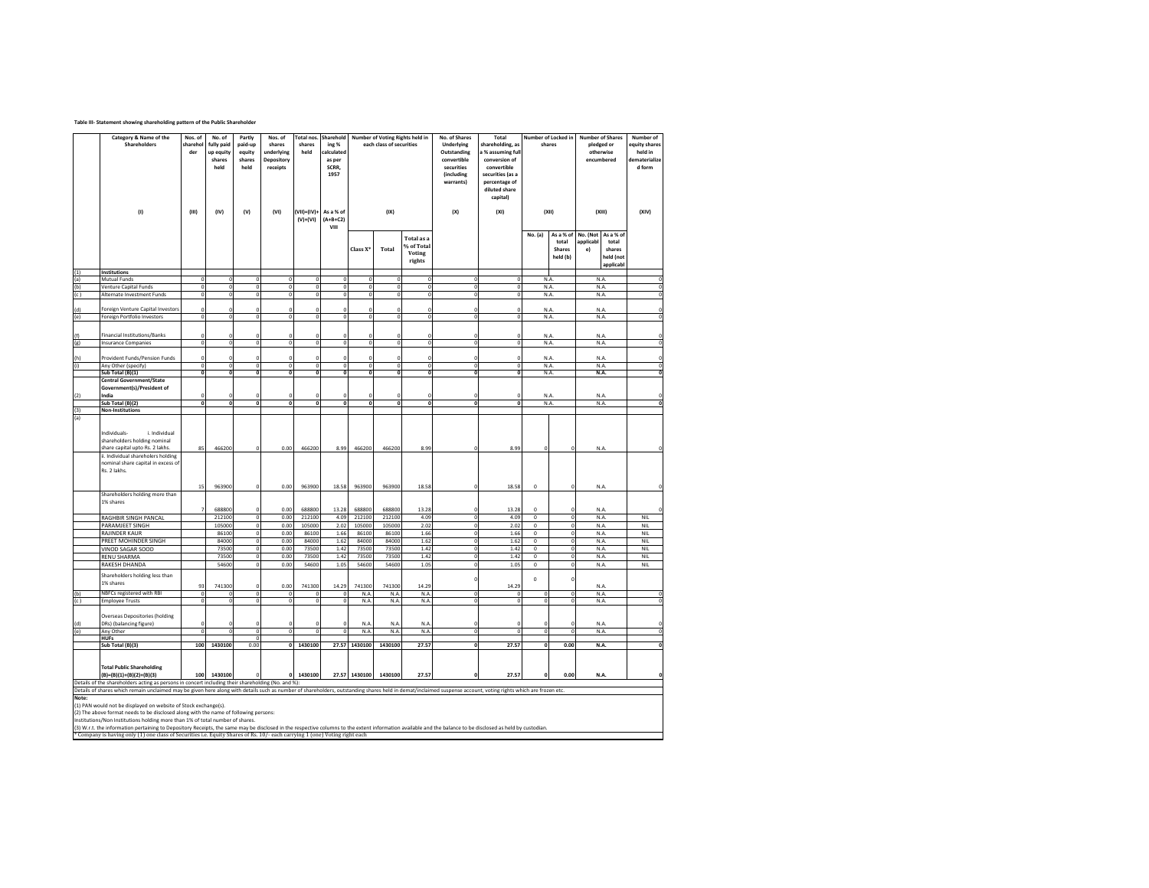## **Table III- Statement showing shareholding pattern of the Public Shareholder**

|            | Category & Name of the<br>Shareholders                                                                                                                                                                                                                                                                                                                                                                                                                  | Nos. of<br>sharehol<br>der | No. of<br>fully paid<br>up equity<br>shares<br>held | Partly<br>paid-up<br>equity<br>shares<br>held | Nos. of<br>shares<br>underlying<br>Depository<br>receipts | Total nos.<br>shares<br>held | Sharehold<br>ing %<br>ralculated<br>as per<br>SCRR.<br>1957 |                      | Number of Voting Rights held in<br>each class of securities |                                                     | No. of Shares<br>Underlying<br>Outstanding<br>convertible<br>securities<br>(including<br>warrants) | Total<br>shareholding, as<br>a % assuming full<br>conversion of<br>convertible<br>securities (as a<br>percentage of<br>diluted share<br>capital) |                         | Number of Locked in<br>shares            | <b>Number of Shares</b><br>pledged or<br>otherwise<br>encumbered |                                                        | Number of<br>equity shares<br>held in<br>dematerialize<br>d form |
|------------|---------------------------------------------------------------------------------------------------------------------------------------------------------------------------------------------------------------------------------------------------------------------------------------------------------------------------------------------------------------------------------------------------------------------------------------------------------|----------------------------|-----------------------------------------------------|-----------------------------------------------|-----------------------------------------------------------|------------------------------|-------------------------------------------------------------|----------------------|-------------------------------------------------------------|-----------------------------------------------------|----------------------------------------------------------------------------------------------------|--------------------------------------------------------------------------------------------------------------------------------------------------|-------------------------|------------------------------------------|------------------------------------------------------------------|--------------------------------------------------------|------------------------------------------------------------------|
|            | (1)                                                                                                                                                                                                                                                                                                                                                                                                                                                     | (III)                      | (IV)                                                | (V)                                           | (VI)                                                      | $(VII)=(IV)+$<br>$(V)+(VI)$  | As a % of<br>$(A+B+C2)$<br>VIII                             |                      | (IX)                                                        |                                                     | (X)                                                                                                | (XI)                                                                                                                                             | (XII)                   |                                          | (XIII)                                                           |                                                        | (XIV)                                                            |
|            |                                                                                                                                                                                                                                                                                                                                                                                                                                                         |                            |                                                     |                                               |                                                           |                              |                                                             | Class X <sup>*</sup> | Total                                                       | <b>Total</b> as a<br>% of Total<br>Voting<br>rights |                                                                                                    |                                                                                                                                                  | No. (a)                 | As a % of<br>total<br>Shares<br>held (b) | No. (Not<br>applicabl<br>e)                                      | As a % of<br>total<br>shares<br>held (not<br>applicabl |                                                                  |
| (1)<br>(a) | Institutions<br>Mutual Funds                                                                                                                                                                                                                                                                                                                                                                                                                            | $\overline{0}$             |                                                     |                                               | $\overline{0}$                                            |                              |                                                             |                      |                                                             |                                                     | $\overline{0}$                                                                                     |                                                                                                                                                  |                         | N.A                                      | N.A.                                                             |                                                        |                                                                  |
| (b)        | <b>Venture Capital Funds</b>                                                                                                                                                                                                                                                                                                                                                                                                                            | $\mathbf 0$                | $\Omega$                                            | $\bf{0}$                                      | $\mathbf 0$                                               | $\mathbf 0$                  | $\mathbf 0$                                                 | $\mathbf{0}$         | $\Omega$                                                    | $\Omega$                                            | $\mathbf 0$                                                                                        | o<br>$\Omega$                                                                                                                                    |                         | N.A.                                     | N.A.                                                             |                                                        | $\mathbf{0}$                                                     |
| (c)        | Alternate Investment Funds                                                                                                                                                                                                                                                                                                                                                                                                                              | $\Omega$                   | $\Omega$                                            | $\Omega$                                      | $\Omega$                                                  | $\Omega$                     | $\Omega$                                                    | $\Omega$             | $\Omega$                                                    | $\Omega$                                            | $\Omega$                                                                                           | $\Omega$                                                                                                                                         |                         | N.A.                                     | N.A.                                                             |                                                        |                                                                  |
|            |                                                                                                                                                                                                                                                                                                                                                                                                                                                         |                            |                                                     |                                               |                                                           |                              |                                                             |                      |                                                             |                                                     |                                                                                                    |                                                                                                                                                  |                         |                                          |                                                                  |                                                        |                                                                  |
| (d)        | oreign Venture Capital Investors                                                                                                                                                                                                                                                                                                                                                                                                                        | $\mathsf{C}$               |                                                     |                                               | $\mathbf 0$                                               |                              | $\mathfrak{a}$                                              |                      |                                                             |                                                     | C                                                                                                  | $\mathbf 0$                                                                                                                                      |                         | N.A                                      | N.A                                                              |                                                        | $\Omega$                                                         |
| (e)        | Foreign Portfolio Investors                                                                                                                                                                                                                                                                                                                                                                                                                             | $\Omega$                   |                                                     | $\Omega$                                      | $\overline{0}$                                            | $\Omega$                     | $\overline{0}$                                              | $\Omega$             | $\overline{0}$                                              |                                                     | $\overline{0}$                                                                                     | $\Omega$                                                                                                                                         |                         | N.A.                                     | N.A.                                                             |                                                        | $\overline{0}$                                                   |
|            |                                                                                                                                                                                                                                                                                                                                                                                                                                                         |                            |                                                     |                                               |                                                           |                              |                                                             |                      |                                                             |                                                     |                                                                                                    |                                                                                                                                                  |                         |                                          |                                                                  |                                                        |                                                                  |
| (f)        | Financial Institutions/Banks                                                                                                                                                                                                                                                                                                                                                                                                                            | $^{\circ}$                 |                                                     |                                               | $\Omega$                                                  | O                            | $\theta$                                                    | n                    | $\Omega$                                                    |                                                     | $\mathfrak{g}$                                                                                     | $\mathbf 0$                                                                                                                                      |                         | N.A.                                     | N.A.                                                             |                                                        | $\Omega$                                                         |
| (g)        | <b>Insurance Companies</b>                                                                                                                                                                                                                                                                                                                                                                                                                              | $\circ$                    | $^{\circ}$                                          | $\Omega$                                      | $\bf{0}$                                                  | $\Omega$                     | $\mathbf 0$                                                 | $\Omega$             | $\pmb{0}$                                                   | $\Omega$                                            | $\Omega$                                                                                           | $\pmb{0}$                                                                                                                                        |                         | N.A.                                     | N.A.                                                             |                                                        | $\Omega$                                                         |
|            |                                                                                                                                                                                                                                                                                                                                                                                                                                                         |                            |                                                     |                                               |                                                           |                              |                                                             |                      |                                                             |                                                     |                                                                                                    |                                                                                                                                                  |                         |                                          |                                                                  |                                                        |                                                                  |
| (h)        | Provident Funds/Pension Funds                                                                                                                                                                                                                                                                                                                                                                                                                           | -C                         |                                                     | c                                             | $\Omega$                                                  | C                            | $\Omega$                                                    | $\Omega$             | $\Omega$                                                    | c                                                   | $\mathfrak{c}$                                                                                     | $\mathbf 0$                                                                                                                                      |                         | N.A                                      | N.A                                                              |                                                        | $\Omega$                                                         |
| (i)        | Any Other (specify)                                                                                                                                                                                                                                                                                                                                                                                                                                     | $\Omega$                   |                                                     | $\Omega$                                      | ō                                                         | $\Omega$                     | $\Omega$                                                    | $\Omega$             | $\Omega$                                                    | $\Omega$                                            | $\Omega$                                                                                           | $\mathbf{0}$                                                                                                                                     |                         | N.A.                                     | N.A                                                              |                                                        | $\mathbf{0}$                                                     |
|            | Sub Total (B)(1)                                                                                                                                                                                                                                                                                                                                                                                                                                        | $\Omega$                   |                                                     |                                               | $\Omega$                                                  |                              | $\Omega$                                                    | $\Omega$             | $\Omega$                                                    | $\Omega$                                            | $\Omega$                                                                                           | $\Omega$                                                                                                                                         |                         | N.A                                      | N.A.                                                             |                                                        | $\Omega$                                                         |
|            | <b>Central Government/State</b>                                                                                                                                                                                                                                                                                                                                                                                                                         |                            |                                                     |                                               |                                                           |                              |                                                             |                      |                                                             |                                                     |                                                                                                    |                                                                                                                                                  |                         |                                          |                                                                  |                                                        |                                                                  |
|            | Government(s)/President of                                                                                                                                                                                                                                                                                                                                                                                                                              |                            |                                                     |                                               |                                                           |                              |                                                             |                      |                                                             |                                                     |                                                                                                    |                                                                                                                                                  |                         |                                          |                                                                  |                                                        |                                                                  |
| (2)        | ndia                                                                                                                                                                                                                                                                                                                                                                                                                                                    |                            |                                                     | $\Omega$                                      | $\Omega$                                                  | $\Omega$                     | $\Omega$                                                    |                      | $\bf{0}$                                                    | $\Omega$                                            | C                                                                                                  | $\Omega$                                                                                                                                         |                         | N.A                                      | N.A                                                              |                                                        | $\Omega$<br>$\mathbf{0}$                                         |
|            | Sub Total (B)(2)                                                                                                                                                                                                                                                                                                                                                                                                                                        | $\mathbf 0$                | $\mathbf 0$                                         |                                               | $\mathbf 0$                                               |                              |                                                             | $\mathbf 0$          | $\mathbf{0}$                                                |                                                     | o                                                                                                  | $\mathbf 0$                                                                                                                                      |                         | N.A.                                     |                                                                  | N.A.                                                   |                                                                  |
| (3)<br>(a) | <b>Non-Institutions</b>                                                                                                                                                                                                                                                                                                                                                                                                                                 |                            |                                                     |                                               |                                                           |                              |                                                             |                      |                                                             |                                                     |                                                                                                    |                                                                                                                                                  |                         |                                          |                                                                  |                                                        |                                                                  |
|            | Individuals-<br>i. Individual<br>shareholders holding nominal<br>share capital upto Rs. 2 lakhs.<br>i. Individual shareholers holding<br>nominal share capital in excess of                                                                                                                                                                                                                                                                             | 85                         | 466200                                              |                                               | 0.00                                                      | 466200                       | 8.99                                                        | 466200               | 466200                                                      | 8.99                                                | O                                                                                                  | 8.99                                                                                                                                             |                         |                                          | N.A                                                              |                                                        |                                                                  |
|            | Rs. 2 lakhs.<br>Shareholders holding more than                                                                                                                                                                                                                                                                                                                                                                                                          | 15                         | 963900                                              | $\Omega$                                      | 0.00                                                      | 963900                       | 18.58                                                       | 963900               | 963900                                                      | 18.58                                               | $\sqrt{2}$                                                                                         | 18.58                                                                                                                                            | $\mathbf 0$             | $\Omega$                                 | N.A                                                              |                                                        | $\Omega$                                                         |
|            | 1% shares                                                                                                                                                                                                                                                                                                                                                                                                                                               |                            | 688800                                              | $\mathfrak{c}$                                | 0.00                                                      | 688800                       | 13.28                                                       | 688800               | 688800                                                      | 13.28                                               | $\sqrt{2}$                                                                                         | 13.28                                                                                                                                            | $\bf{0}$                | $\Omega$                                 | N.A                                                              |                                                        | $\Omega$                                                         |
|            | RAGHBIR SINGH PANCAL                                                                                                                                                                                                                                                                                                                                                                                                                                    |                            | 212100                                              | $\overline{0}$                                | 0.00                                                      | 212100                       | 4.09                                                        | 212100               | 212100                                                      | 4.09                                                | $\overline{0}$                                                                                     | 4.09                                                                                                                                             | $\mathbf{0}$            | $\overline{0}$                           | N.A.                                                             |                                                        | <b>NIL</b>                                                       |
|            | PARAMJEET SINGH                                                                                                                                                                                                                                                                                                                                                                                                                                         |                            | 105000                                              | $\Omega$                                      | 0.00                                                      | 105000                       | 2.02                                                        | 105000               | 105000                                                      | 2.02                                                | $\overline{0}$                                                                                     | 2.02                                                                                                                                             | $\overline{0}$          | $\overline{\mathbf{0}}$                  | N.A.                                                             |                                                        | <b>NIL</b>                                                       |
|            | RAJINDER KAUR                                                                                                                                                                                                                                                                                                                                                                                                                                           |                            | 86100                                               | $\Omega$                                      | 0.00                                                      | 86100                        | 1.66                                                        | 86100                | 86100                                                       | 1.66                                                | $\mathbf 0$                                                                                        | 1.66                                                                                                                                             | $\mathbf 0$             | $\pmb{0}$                                | N.A.                                                             |                                                        | <b>NIL</b>                                                       |
|            | PREET MOHINDER SINGH<br>VINOD SAGAR SOOD                                                                                                                                                                                                                                                                                                                                                                                                                |                            | 84000<br>73500                                      |                                               | 0.00<br>0.00                                              | 84000<br>73500               | 1.62<br>1.42                                                | 84000<br>73500       | 84000<br>73500                                              | 1.62<br>1.42                                        | $\circ$<br>$\bf{0}$                                                                                | 1.62<br>1.42                                                                                                                                     | $\bf 0$<br>$\bf{0}$     | $\pmb{0}$<br>$\bf{0}$                    | N.A.<br>N.A.                                                     |                                                        | <b>NIL</b><br>NIL                                                |
|            | <b>RENU SHARMA</b>                                                                                                                                                                                                                                                                                                                                                                                                                                      |                            | 73500                                               | $\circ$                                       | 0.00                                                      | 73500                        | 1.42                                                        | 73500                | 73500                                                       | 1.42                                                | $\mathbf 0$                                                                                        | 1.42                                                                                                                                             | $\bf 0$                 | $\bf{0}$                                 | N.A.                                                             |                                                        | NIL                                                              |
|            | RAKESH DHANDA                                                                                                                                                                                                                                                                                                                                                                                                                                           |                            | 54600                                               |                                               | 0.00                                                      | 54600                        | 1.05                                                        | 54600                | 54600                                                       | 1.0 <sup>c</sup>                                    | $\overline{0}$                                                                                     | 1.05                                                                                                                                             | $\overline{0}$          | $\overline{0}$                           | N.A                                                              |                                                        | <b>NIL</b>                                                       |
|            | Shareholders holding less than<br>1% shares                                                                                                                                                                                                                                                                                                                                                                                                             | 93                         | 741300                                              |                                               | 0.00                                                      | 741300                       | 14.29                                                       | 741300               | 741300                                                      | 14.29                                               | $\epsilon$                                                                                         | 14.29                                                                                                                                            | $\mathbf 0$             | $\overline{0}$                           | N.A                                                              |                                                        |                                                                  |
| (b)        | NBFCs registered with RBI                                                                                                                                                                                                                                                                                                                                                                                                                               |                            |                                                     |                                               | $\mathbf{0}$                                              |                              |                                                             | N.A                  | N.A.                                                        | N.A                                                 | $\mathfrak{a}$                                                                                     | $\mathbf 0$                                                                                                                                      |                         | $\mathbf{0}$                             | N.A.                                                             |                                                        |                                                                  |
| (c )       | <b>Employee Trusts</b>                                                                                                                                                                                                                                                                                                                                                                                                                                  | $\Omega$                   |                                                     |                                               | $\overline{0}$                                            | O                            | $\Omega$                                                    | N.A                  | N.A                                                         | N.A                                                 | $\circ$                                                                                            | $\overline{0}$                                                                                                                                   | $\mathbf 0$             | $\Omega$                                 | N.A                                                              |                                                        |                                                                  |
| (d)        | <b>Overseas Depositories (holding</b><br>DRs) (balancing figure)                                                                                                                                                                                                                                                                                                                                                                                        |                            |                                                     |                                               | $\Omega$                                                  |                              | Ċ                                                           | N.A                  | N.A.                                                        | N.A                                                 | $\mathfrak{c}$                                                                                     | $\Omega$                                                                                                                                         | $\Omega$                | $\Omega$                                 | N.A                                                              |                                                        | $\Omega$                                                         |
| (e)        | Any Other                                                                                                                                                                                                                                                                                                                                                                                                                                               | ō                          |                                                     | $\Omega$                                      | $\overline{0}$                                            | $\overline{0}$               | $\overline{0}$                                              | N.A                  | N.A.                                                        | N.A                                                 | $\overline{\mathbf{0}}$                                                                            | $\mathbf 0$                                                                                                                                      | $\overline{\mathbf{0}}$ | $\overline{\mathbf{0}}$                  | N.A.                                                             |                                                        | $\overline{0}$                                                   |
|            | <b>HUFs</b>                                                                                                                                                                                                                                                                                                                                                                                                                                             |                            |                                                     |                                               |                                                           |                              |                                                             |                      |                                                             |                                                     |                                                                                                    |                                                                                                                                                  |                         |                                          |                                                                  |                                                        |                                                                  |
|            | Sub Total (B)(3)                                                                                                                                                                                                                                                                                                                                                                                                                                        | 100                        | 1430100                                             | 0.00                                          |                                                           | 0 1430100                    | 27.57                                                       | 1430100              | 1430100                                                     | 27.57                                               | $\overline{0}$                                                                                     | 27.57                                                                                                                                            | $\Omega$                | 0.00                                     | N.A                                                              |                                                        |                                                                  |
|            | <b>Total Public Shareholding</b><br>$(B)=(B)(1)+(B)(2)+(B)(3)$                                                                                                                                                                                                                                                                                                                                                                                          | 100                        | 1430100                                             |                                               | $\mathbf 0$                                               | 1430100                      | 27.57                                                       | 1430100              | 1430100                                                     | 27.57                                               |                                                                                                    | 27.57                                                                                                                                            |                         | 0.00                                     | N.A                                                              |                                                        |                                                                  |
|            | Details of the shareholders acting as persons in concert including their shareholding (No. and %):                                                                                                                                                                                                                                                                                                                                                      |                            |                                                     |                                               |                                                           |                              |                                                             |                      |                                                             |                                                     |                                                                                                    |                                                                                                                                                  |                         |                                          |                                                                  |                                                        |                                                                  |
|            | Details of shares which remain unclaimed may be given here along with details such as number of shareholders, outstanding shares held in demat/inclaimed suspense account, voting rights which are frozen etc.                                                                                                                                                                                                                                          |                            |                                                     |                                               |                                                           |                              |                                                             |                      |                                                             |                                                     |                                                                                                    |                                                                                                                                                  |                         |                                          |                                                                  |                                                        |                                                                  |
| Note:      | (1) PAN would not be displayed on website of Stock exchange(s).<br>(2) The above format needs to be disclosed along with the name of following persons:<br>Institutions/Non Institutions holding more than 1% of total number of shares.<br>(3) W.r.t. the information pertaining to Depository Receipts, the same may be disclosed in the respective columns to the extent information available and the balance to be disclosed as held by custodian. |                            |                                                     |                                               |                                                           |                              |                                                             |                      |                                                             |                                                     |                                                                                                    |                                                                                                                                                  |                         |                                          |                                                                  |                                                        |                                                                  |
|            | * Company is having only (1) one class of Securities i.e. Equity Shares of Rs. 10/- each carrying 1 (one) Voting right each                                                                                                                                                                                                                                                                                                                             |                            |                                                     |                                               |                                                           |                              |                                                             |                      |                                                             |                                                     |                                                                                                    |                                                                                                                                                  |                         |                                          |                                                                  |                                                        |                                                                  |